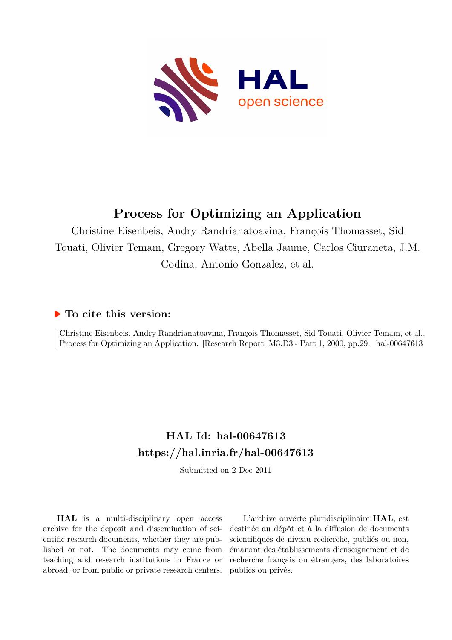

## **Process for Optimizing an Application**

Christine Eisenbeis, Andry Randrianatoavina, François Thomasset, Sid Touati, Olivier Temam, Gregory Watts, Abella Jaume, Carlos Ciuraneta, J.M. Codina, Antonio Gonzalez, et al.

## **To cite this version:**

Christine Eisenbeis, Andry Randrianatoavina, François Thomasset, Sid Touati, Olivier Temam, et al.. Process for Optimizing an Application. [Research Report] M3.D3 - Part 1, 2000, pp.29. hal-00647613

## **HAL Id: hal-00647613 <https://hal.inria.fr/hal-00647613>**

Submitted on 2 Dec 2011

**HAL** is a multi-disciplinary open access archive for the deposit and dissemination of scientific research documents, whether they are published or not. The documents may come from teaching and research institutions in France or abroad, or from public or private research centers.

L'archive ouverte pluridisciplinaire **HAL**, est destinée au dépôt et à la diffusion de documents scientifiques de niveau recherche, publiés ou non, émanant des établissements d'enseignement et de recherche français ou étrangers, des laboratoires publics ou privés.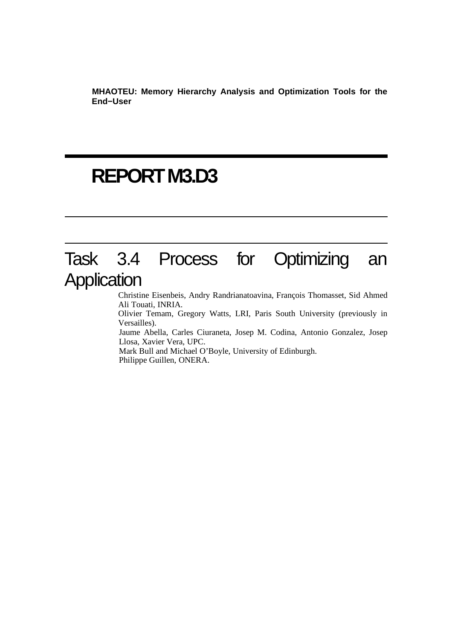**MHAOTEU: Memory Hierarchy Analysis and Optimization Tools for the End−User**

# **REPORT M3.D3**

## Task 3.4 Process for Optimizing an **Application**

Christine Eisenbeis, Andry Randrianatoavina, François Thomasset, Sid Ahmed Ali Touati, INRIA.

Olivier Temam, Gregory Watts, LRI, Paris South University (previously in Versailles).

Jaume Abella, Carles Ciuraneta, Josep M. Codina, Antonio Gonzalez, Josep Llosa, Xavier Vera, UPC.

Mark Bull and Michael O'Boyle, University of Edinburgh. Philippe Guillen, ONERA.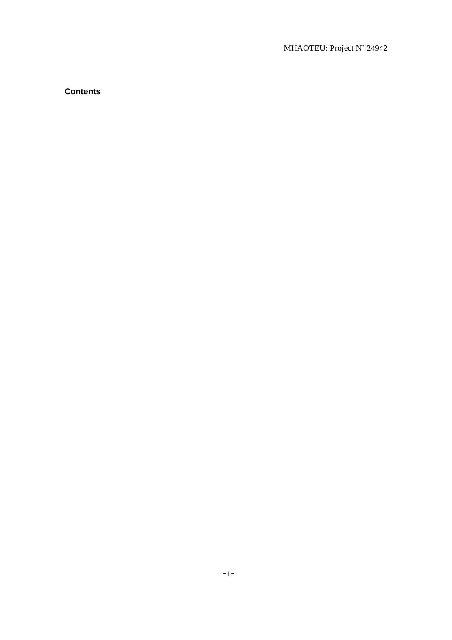#### MHAOTEU: Project Nº 24942

### **Contents**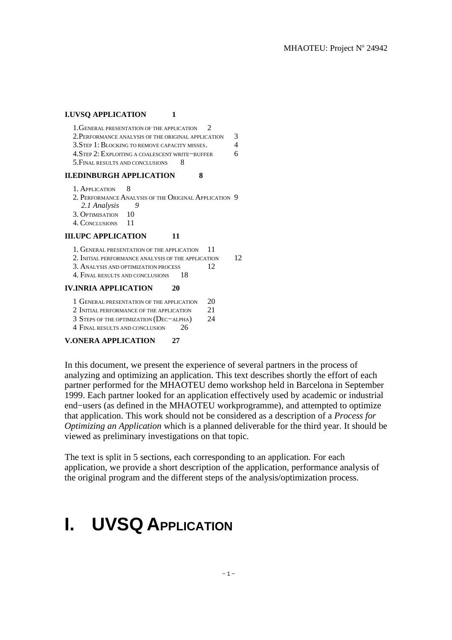#### **I.UVSQ APPLICATION** 1

| $1.$ GENERAL PRESENTATION OF THE APPLICATION $2$    |               |
|-----------------------------------------------------|---------------|
| 2. PERFORMANCE ANALYSIS OF THE ORIGINAL APPLICATION | $\mathcal{R}$ |
| 3. STEP 1: BLOCKING TO REMOVE CAPACITY MISSES.      | $\Delta$      |
| 4. STEP 2: EXPLOITING A COALESCENT WRITE-BUFFER     | 6.            |
| 5. FINAL RESULTS AND CONCLUSIONS                    |               |

#### **II.EDINBURGH APPLICATION 8**

- 1. APPLICATION 8
- 2. PERFORMANCE ANALYSIS OF THE ORIGINAL APPLICATION 9 *2.1 Analysis 9*
- 3. OPTIMISATION 10
- 4. CONCLUSIONS 11

#### **III.UPC APPLICATION** 11

- 1. GENERAL PRESENTATION OF THE APPLICATION 11
- 2. INITIAL PERFORMANCE ANALYSIS OF THE APPLICATION 12
- 3. ANALYSIS AND OPTIMIZATION PROCESS 22
- 4. FINAL RESULTS AND CONCLUSIONS 18

#### **IV.INRIA APPLICATION 20**

- 1 GENERAL PRESENTATION OF THE APPLICATION 20
- 2 INITIAL PERFORMANCE OF THE APPLICATION 21
- 3 STEPS OF THE OPTIMIZATION (DEC−ALPHA) 24

4 FINAL RESULTS AND CONCLUSION 26

#### **V.ONERA APPLICATION 27**

In this document, we present the experience of several partners in the process of analyzing and optimizing an application. This text describes shortly the effort of each partner performed for the MHAOTEU demo workshop held in Barcelona in September 1999. Each partner looked for an application effectively used by academic or industrial end−users (as defined in the MHAOTEU workprogramme), and attempted to optimize that application. This work should not be considered as a description of a *Process for Optimizing an Application* which is a planned deliverable for the third year. It should be viewed as preliminary investigations on that topic.

The text is split in 5 sections, each corresponding to an application. For each application, we provide a short description of the application, performance analysis of the original program and the different steps of the analysis/optimization process.

## **I. UVSQ APPLICATION**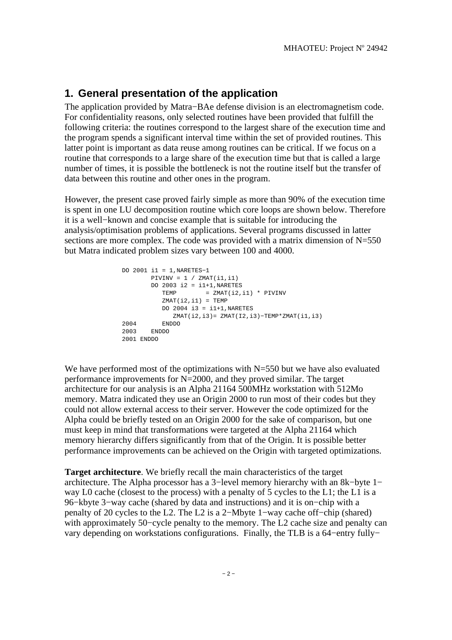## **1. General presentation of the application**

The application provided by Matra−BAe defense division is an electromagnetism code. For confidentiality reasons, only selected routines have been provided that fulfill the following criteria: the routines correspond to the largest share of the execution time and the program spends a significant interval time within the set of provided routines. This latter point is important as data reuse among routines can be critical. If we focus on a routine that corresponds to a large share of the execution time but that is called a large number of times, it is possible the bottleneck is not the routine itself but the transfer of data between this routine and other ones in the program.

However, the present case proved fairly simple as more than 90% of the execution time is spent in one LU decomposition routine which core loops are shown below. Therefore it is a well−known and concise example that is suitable for introducing the analysis/optimisation problems of applications. Several programs discussed in latter sections are more complex. The code was provided with a matrix dimension of  $N=550$ but Matra indicated problem sizes vary between 100 and 4000.

```
 DO 2001 i1 = 1,NARETES−1
       PIVINV = 1 / ZMAT(i1, i1)DO 2003 i2 = i1+1, NARETESTEMP = ZMAT(i2, i1) * PIVINVZMAT(i2, i1) = TEMPDO 2004 i3 = i1+1, NARETES ZMAT(i2,i3)= ZMAT(I2,i3)−TEMP*ZMAT(i1,i3)
 2004 ENDDO 
 2003 ENDDO
 2001 ENDDO
```
We have performed most of the optimizations with  $N=550$  but we have also evaluated performance improvements for N=2000, and they proved similar. The target architecture for our analysis is an Alpha 21164 500MHz workstation with 512Mo memory. Matra indicated they use an Origin 2000 to run most of their codes but they could not allow external access to their server. However the code optimized for the Alpha could be briefly tested on an Origin 2000 for the sake of comparison, but one must keep in mind that transformations were targeted at the Alpha 21164 which memory hierarchy differs significantly from that of the Origin. It is possible better performance improvements can be achieved on the Origin with targeted optimizations.

**Target architecture**. We briefly recall the main characteristics of the target architecture. The Alpha processor has a 3−level memory hierarchy with an 8k−byte 1− way L0 cache (closest to the process) with a penalty of 5 cycles to the L1; the L1 is a 96−kbyte 3−way cache (shared by data and instructions) and it is on−chip with a penalty of 20 cycles to the L2. The L2 is a 2−Mbyte 1−way cache off−chip (shared) with approximately 50−cycle penalty to the memory. The L2 cache size and penalty can vary depending on workstations configurations. Finally, the TLB is a 64−entry fully−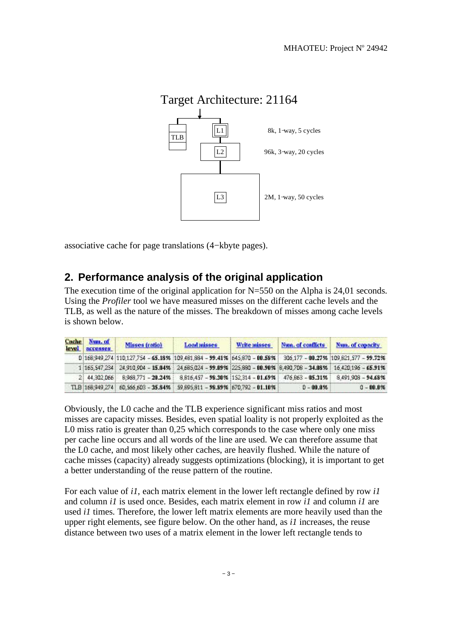

associative cache for page translations (4−kbyte pages).

## **2. Performance analysis of the original application**

The execution time of the original application for N=550 on the Alpha is 24,01 seconds. Using the *Profiler* tool we have measured misses on the different cache levels and the TLB, as well as the nature of the misses. The breakdown of misses among cache levels is shown below.

| level | Cache Num. of<br>accesses | Misses (ratio)                                                                                                 | Load misses | Write misses | Num. of conflicts | Num, of capacity |
|-------|---------------------------|----------------------------------------------------------------------------------------------------------------|-------------|--------------|-------------------|------------------|
|       |                           | 0 168 949 274 110 127 754 - 65.18% 109 481 884 - 99.41% 645 870 - 00.58% 306 177 - 00.27% 109 821 577 - 99.72% |             |              |                   |                  |
|       |                           | 1 165,547,234 24,910,904 - 15.04% 24,685,024 - 99.09% 225,880 - 00.90% 8.490,708 - 34.08% 16,420,196 - 65.91%  |             |              |                   |                  |
|       |                           | 2 44.302.066 8.968.771 - 20.24% 8816.457 - 98.30% 152.314 - 01.69% 476.863 - 05.31% 8491.908 - 94.68%          |             |              |                   |                  |
|       |                           | TLB 168,949,274 60,566,603 - 35.84% 99,895,811 - 98.89% 670,792 - 01.10%                                       |             |              | $0 - 00.056$      | $0 - 00.0\%$     |

Obviously, the L0 cache and the TLB experience significant miss ratios and most misses are capacity misses. Besides, even spatial loality is not properly exploited as the L0 miss ratio is greater than 0.25 which corresponds to the case where only one miss per cache line occurs and all words of the line are used. We can therefore assume that the L0 cache, and most likely other caches, are heavily flushed. While the nature of cache misses (capacity) already suggests optimizations (blocking), it is important to get a better understanding of the reuse pattern of the routine.

For each value of *i1*, each matrix element in the lower left rectangle defined by row *i1* and column *i1* is used once. Besides, each matrix element in row *i1* and column *i1* are used *i1* times. Therefore, the lower left matrix elements are more heavily used than the upper right elements, see figure below. On the other hand, as *i1* increases, the reuse distance between two uses of a matrix element in the lower left rectangle tends to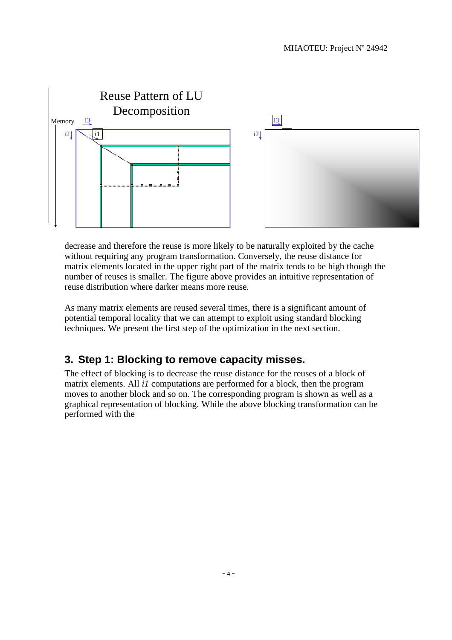

decrease and therefore the reuse is more likely to be naturally exploited by the cache without requiring any program transformation. Conversely, the reuse distance for matrix elements located in the upper right part of the matrix tends to be high though the number of reuses is smaller. The figure above provides an intuitive representation of reuse distribution where darker means more reuse.

As many matrix elements are reused several times, there is a significant amount of potential temporal locality that we can attempt to exploit using standard blocking techniques. We present the first step of the optimization in the next section.

## **3. Step 1: Blocking to remove capacity misses.**

The effect of blocking is to decrease the reuse distance for the reuses of a block of matrix elements. All *i1* computations are performed for a block, then the program moves to another block and so on. The corresponding program is shown as well as a graphical representation of blocking. While the above blocking transformation can be performed with the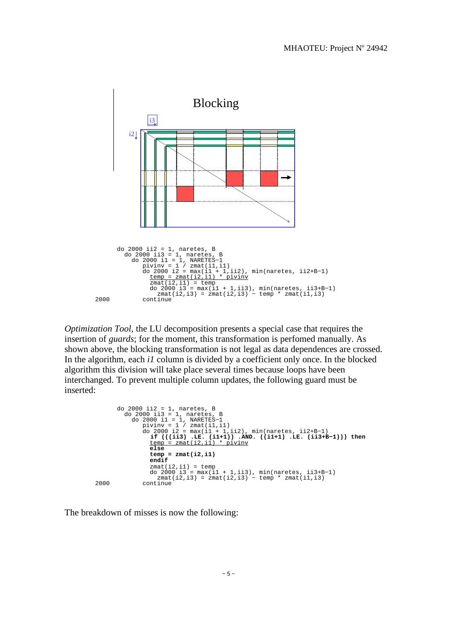

*Optimization Tool*, the LU decomposition presents a special case that requires the insertion of *guards*; for the moment, this transformation is perfomed manually. As shown above, the blocking transformation is not legal as data dependences are crossed. In the algorithm, each *i1* column is divided by a coefficient only once. In the blocked algorithm this division will take place several times because loops have been interchanged. To prevent multiple column updates, the following guard must be inserted:

```
do 2000 ii2 = 1, naretes, B<br>
do 2000 ii3 = 1, naretes, B<br>
do 2000 ii3 = 1, NARETES-1<br>
pivinv = 1 / zmat(il,il)<br>
do 2000 i2 = max(il + 1,ii2), min(naretes, ii2+B-1)<br>
if (((ii3) .LE. (i1+1)) .AND. ((i1+1) .LE. (ii3+B-1))) 
                                 temp = zmat(i2,i1)
                                  endif 
 zmat(i2,i1) = temp
 do 2000 i3 = max(i1 + 1,ii3), min(naretes, ii3+B−1)
 zmat(i2,i3) = zmat(i2,i3) − temp * zmat(i1,i3)
  2000 continue
```
The breakdown of misses is now the following: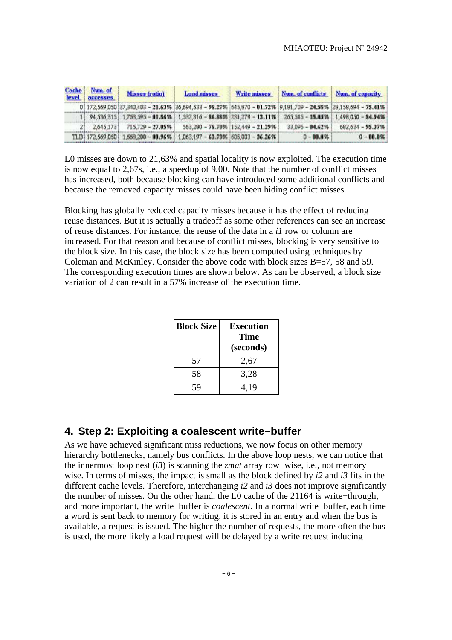| Cache<br>level | Num. of<br>accesses | <b>Misses (ratio)</b> | <b>Load misses</b>                                                                                            | Write misses | Num. of conflicts Num. of capacity |                  |
|----------------|---------------------|-----------------------|---------------------------------------------------------------------------------------------------------------|--------------|------------------------------------|------------------|
|                |                     |                       | 0 172,569,050 37,340,403 - 21,63% 36,694,533 - 98,27% 645,870 - 01.72% 9,181,709 - 24,58% 28,158,694 - 75.41% |              |                                    |                  |
|                |                     |                       | 1 94.536.315 1.763.595 - 01.86% 1.532.316 - 86.88% 231.279 - 13.11% 265.545 - 15.05% 1.498.050 - 84.94%       |              |                                    |                  |
|                |                     |                       | 2.645.173 715.729 - 27.85% 563.280 - 78.70% 152.449 - 21.29%                                                  |              | $33.095 - 04.62\%$                 | 682,634 - 95.37% |
|                |                     |                       | TLB: 172.569.050: 1.668.200 - 80.96%: 1.063.197 - 63.73%: 605.003 - 36.26%:                                   |              | $D - 00.0%$                        | $0 - 00.0%$      |

L0 misses are down to 21,63% and spatial locality is now exploited. The execution time is now equal to 2,67s, i.e., a speedup of 9,00. Note that the number of conflict misses has increased, both because blocking can have introduced some additional conflicts and because the removed capacity misses could have been hiding conflict misses.

Blocking has globally reduced capacity misses because it has the effect of reducing reuse distances. But it is actually a tradeoff as some other references can see an increase of reuse distances. For instance, the reuse of the data in a *i1* row or column are increased. For that reason and because of conflict misses, blocking is very sensitive to the block size. In this case, the block size has been computed using techniques by Coleman and McKinley. Consider the above code with block sizes B=57, 58 and 59. The corresponding execution times are shown below. As can be observed, a block size variation of 2 can result in a 57% increase of the execution time.

| <b>Block Size</b> | <b>Execution</b><br>Time<br>(seconds) |
|-------------------|---------------------------------------|
| 57                | 2,67                                  |
| 58                | 3,28                                  |
| ٠Q                | 4,19                                  |

## **4. Step 2: Exploiting a coalescent write−buffer**

As we have achieved significant miss reductions, we now focus on other memory hierarchy bottlenecks, namely bus conflicts. In the above loop nests, we can notice that the innermost loop nest (*i3*) is scanning the *zmat* array row−wise, i.e., not memory− wise. In terms of misses, the impact is small as the block defined by *i2* and *i3* fits in the different cache levels. Therefore, interchanging *i2* and *i3* does not improve significantly the number of misses. On the other hand, the L0 cache of the 21164 is write−through, and more important, the write−buffer is *coalescent*. In a normal write−buffer, each time a word is sent back to memory for writing, it is stored in an entry and when the bus is available, a request is issued. The higher the number of requests, the more often the bus is used, the more likely a load request will be delayed by a write request inducing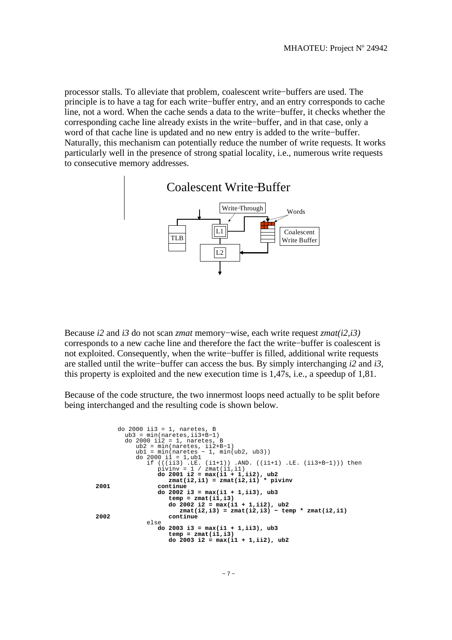processor stalls. To alleviate that problem, coalescent write−buffers are used. The principle is to have a tag for each write−buffer entry, and an entry corresponds to cache line, not a word. When the cache sends a data to the write−buffer, it checks whether the corresponding cache line already exists in the write−buffer, and in that case, only a word of that cache line is updated and no new entry is added to the write−buffer. Naturally, this mechanism can potentially reduce the number of write requests. It works particularly well in the presence of strong spatial locality, i.e., numerous write requests to consecutive memory addresses.



Because *i2* and *i3* do not scan *zmat* memory−wise, each write request *zmat(i2,i3)* corresponds to a new cache line and therefore the fact the write−buffer is coalescent is not exploited. Consequently, when the write−buffer is filled, additional write requests are stalled until the write−buffer can access the bus. By simply interchanging *i2* and *i3*, this property is exploited and the new execution time is 1,47s, i.e., a speedup of 1,81.

Because of the code structure, the two innermost loops need actually to be split before being interchanged and the resulting code is shown below.

```
 do 2000 ii3 = 1, naretes, B
 ub3 = min(naretes,ii3+B−1)
 do 2000 ii2 = 1, naretes, B
 ub2 = min(naretes, ii2+B−1)
 ub1 = min(naretes − 1, min(ub2, ub3))
 do 2000 i1 = 1,ub1
 if (((ii3) .LE. (i1+1)) .AND. ((i1+1) .LE. (ii3+B−1))) then
                     pivinv = 1 / \text{zmat}(i1, i1) do 2001 i2 = max(i1 + 1,ii2), ub2
 zmat(i2,i1) = zmat(i2,i1) * pivinv
 2001 continue
                      do 2002 i3 = max(i1 + 1,ii3), ub3
                          temp = zmat(i1,i3)
 do 2002 i2 = max(i1 + 1,ii2), ub2
 zmat(i2,i3) = zmat(i2,i3) − temp * zmat(i2,i1)
 2002 continue
                  else
                      do 2003 i3 = max(i1 + 1,ii3), ub3
 temp = zmat(i1,i3)
 do 2003 i2 = max(i1 + 1,ii2), ub2
```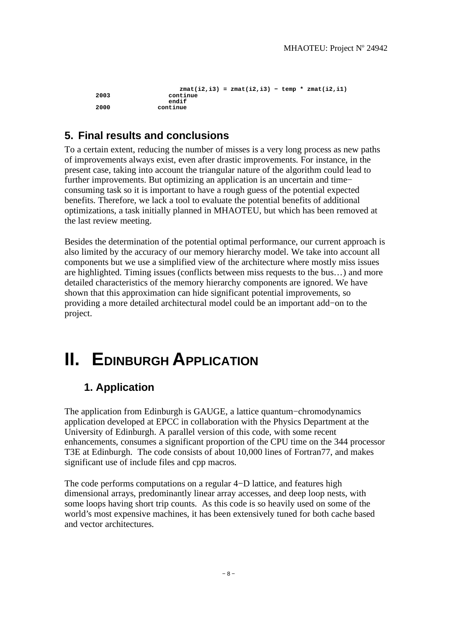```
zmat(i2,i3) = zmat(i2,i3) – temp * zmat(i2,i1)<br>
2003 continue
                   2003 continue
 endif 
                2000 continue
```
## **5. Final results and conclusions**

To a certain extent, reducing the number of misses is a very long process as new paths of improvements always exist, even after drastic improvements. For instance, in the present case, taking into account the triangular nature of the algorithm could lead to further improvements. But optimizing an application is an uncertain and time− consuming task so it is important to have a rough guess of the potential expected benefits. Therefore, we lack a tool to evaluate the potential benefits of additional optimizations, a task initially planned in MHAOTEU, but which has been removed at the last review meeting.

Besides the determination of the potential optimal performance, our current approach is also limited by the accuracy of our memory hierarchy model. We take into account all components but we use a simplified view of the architecture where mostly miss issues are highlighted. Timing issues (conflicts between miss requests to the bus…) and more detailed characteristics of the memory hierarchy components are ignored. We have shown that this approximation can hide significant potential improvements, so providing a more detailed architectural model could be an important add−on to the project.

# **II. EDINBURGH APPLICATION**

## **1. Application**

The application from Edinburgh is GAUGE, a lattice quantum−chromodynamics application developed at EPCC in collaboration with the Physics Department at the University of Edinburgh. A parallel version of this code, with some recent enhancements, consumes a significant proportion of the CPU time on the 344 processor T3E at Edinburgh. The code consists of about 10,000 lines of Fortran77, and makes significant use of include files and cpp macros.

The code performs computations on a regular 4−D lattice, and features high dimensional arrays, predominantly linear array accesses, and deep loop nests, with some loops having short trip counts. As this code is so heavily used on some of the world's most expensive machines, it has been extensively tuned for both cache based and vector architectures.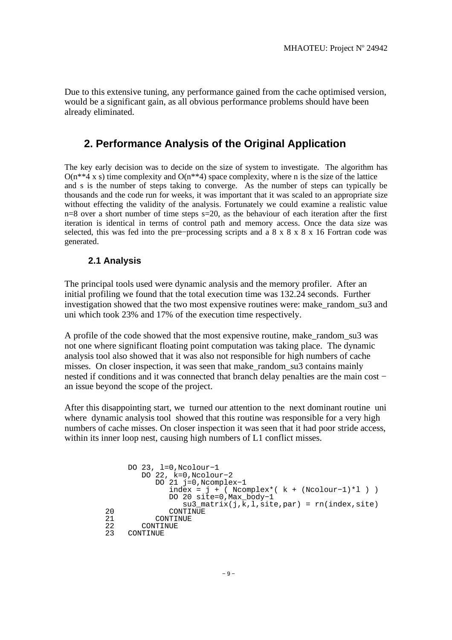Due to this extensive tuning, any performance gained from the cache optimised version, would be a significant gain, as all obvious performance problems should have been already eliminated.

### **2. Performance Analysis of the Original Application**

The key early decision was to decide on the size of system to investigate. The algorithm has  $O(n^{**}4 \times s)$  time complexity and  $O(n^{**}4)$  space complexity, where n is the size of the lattice and s is the number of steps taking to converge. As the number of steps can typically be thousands and the code run for weeks, it was important that it was scaled to an appropriate size without effecting the validity of the analysis. Fortunately we could examine a realistic value  $n=8$  over a short number of time steps  $s=20$ , as the behaviour of each iteration after the first iteration is identical in terms of control path and memory access. Once the data size was selected, this was fed into the pre–processing scripts and a 8 x 8 x 8 x 16 Fortran code was generated.

#### **2.1 Analysis**

The principal tools used were dynamic analysis and the memory profiler. After an initial profiling we found that the total execution time was 132.24 seconds. Further investigation showed that the two most expensive routines were: make\_random\_su3 and uni which took 23% and 17% of the execution time respectively.

A profile of the code showed that the most expensive routine, make\_random\_su3 was not one where significant floating point computation was taking place. The dynamic analysis tool also showed that it was also not responsible for high numbers of cache misses. On closer inspection, it was seen that make\_random\_su3 contains mainly nested if conditions and it was connected that branch delay penalties are the main cost − an issue beyond the scope of the project.

After this disappointing start, we turned our attention to the next dominant routine uni where dynamic analysis tool showed that this routine was responsible for a very high numbers of cache misses. On closer inspection it was seen that it had poor stride access, within its inner loop nest, causing high numbers of L1 conflict misses.

```
 DO 23, l=0,Ncolour−1
          DO 22, k=0,Ncolour−2
              DO 21 j=0,Ncomplex−1
                index = j + ( Ncomplex * ( k + ( Ncolour-1) *l ) ) DO 20 site=0,Max_body−1
su3_matrix(j,\overline{k},1,\overline{s}ite,par) = rn(index,site)<br>20 CONTINUE
20 CONTINUE<br>21 CONTINUE
21 CONTINUE<br>22 CONTINUE
22 CONTINUE<br>23 CONTINUE
     CONTINUE
```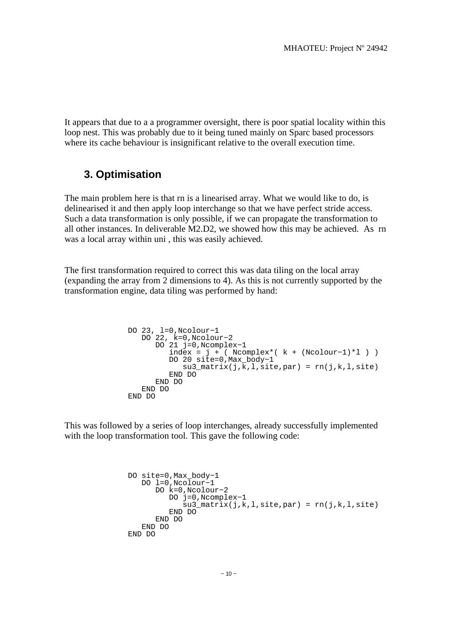It appears that due to a a programmer oversight, there is poor spatial locality within this loop nest. This was probably due to it being tuned mainly on Sparc based processors where its cache behaviour is insignificant relative to the overall execution time.

## **3. Optimisation**

The main problem here is that rn is a linearised array. What we would like to do, is delinearised it and then apply loop interchange so that we have perfect stride access. Such a data transformation is only possible, if we can propagate the transformation to all other instances. In deliverable M2.D2, we showed how this may be achieved. As rn was a local array within uni , this was easily achieved.

The first transformation required to correct this was data tiling on the local array (expanding the array from 2 dimensions to 4). As this is not currently supported by the transformation engine, data tiling was performed by hand:

```
 DO 23, l=0,Ncolour−1
 DO 22, k=0,Ncolour−2
            DO 21 j=0,Ncomplex−1
 index = j + ( Ncomplex*( k + (Ncolour−1)*l ) )
 DO 20 site=0,Max_body−1
                su3 matrix(j,k,l,site,par) = rn(j,k,l,site)
               END DO 
            END DO 
          END DO 
       END DO
```
This was followed by a series of loop interchanges, already successfully implemented with the loop transformation tool. This gave the following code:

```
 DO site=0,Max_body−1
    DO l=0,Ncolour−1
       DO k=0,Ncolour−2
          DO j=0,Ncomplex−1
             su3_matrix(j,k,l,site,par) = rn(j,k,l,site)
          END DO 
       END DO 
    END DO 
 END DO
```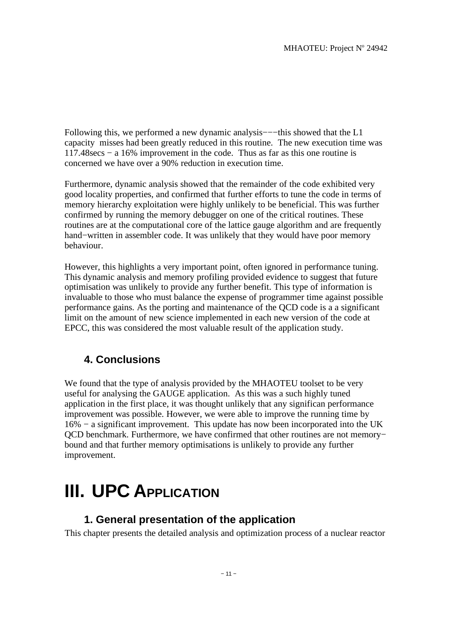Following this, we performed a new dynamic analysis−−−this showed that the L1 capacity misses had been greatly reduced in this routine. The new execution time was 117.48secs − a 16% improvement in the code. Thus as far as this one routine is concerned we have over a 90% reduction in execution time.

Furthermore, dynamic analysis showed that the remainder of the code exhibited very good locality properties, and confirmed that further efforts to tune the code in terms of memory hierarchy exploitation were highly unlikely to be beneficial. This was further confirmed by running the memory debugger on one of the critical routines. These routines are at the computational core of the lattice gauge algorithm and are frequently hand−written in assembler code. It was unlikely that they would have poor memory behaviour.

However, this highlights a very important point, often ignored in performance tuning. This dynamic analysis and memory profiling provided evidence to suggest that future optimisation was unlikely to provide any further benefit. This type of information is invaluable to those who must balance the expense of programmer time against possible performance gains. As the porting and maintenance of the QCD code is a a significant limit on the amount of new science implemented in each new version of the code at EPCC, this was considered the most valuable result of the application study.

## **4. Conclusions**

We found that the type of analysis provided by the MHAOTEU toolset to be very useful for analysing the GAUGE application. As this was a such highly tuned application in the first place, it was thought unlikely that any significan performance improvement was possible. However, we were able to improve the running time by 16% − a significant improvement. This update has now been incorporated into the UK QCD benchmark. Furthermore, we have confirmed that other routines are not memory− bound and that further memory optimisations is unlikely to provide any further improvement.

# **III. UPC APPLICATION**

## **1. General presentation of the application**

This chapter presents the detailed analysis and optimization process of a nuclear reactor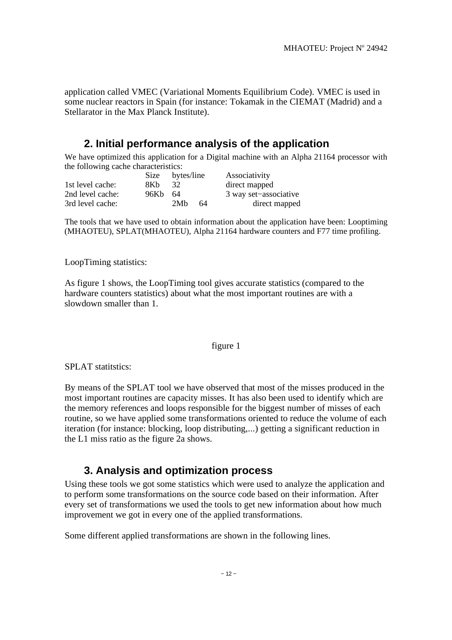application called VMEC (Variational Moments Equilibrium Code). VMEC is used in some nuclear reactors in Spain (for instance: Tokamak in the CIEMAT (Madrid) and a Stellarator in the Max Planck Institute).

## **2. Initial performance analysis of the application**

We have optimized this application for a Digital machine with an Alpha 21164 processor with the following cache characteristics:

|                  | <b>Size</b> | bytes/line |    | Associativity         |
|------------------|-------------|------------|----|-----------------------|
| 1st level cache: | 8Kb         | 32         |    | direct mapped         |
| 2nd level cache: | 96Kb        | -64        |    | 3 way set-associative |
| 3rd level cache: |             | 2Mh        | 64 | direct mapped         |

The tools that we have used to obtain information about the application have been: Looptiming (MHAOTEU), SPLAT(MHAOTEU), Alpha 21164 hardware counters and F77 time profiling.

#### LoopTiming statistics:

As figure 1 shows, the LoopTiming tool gives accurate statistics (compared to the hardware counters statistics) about what the most important routines are with a slowdown smaller than 1.

#### figure 1

SPLAT statitstics:

By means of the SPLAT tool we have observed that most of the misses produced in the most important routines are capacity misses. It has also been used to identify which are the memory references and loops responsible for the biggest number of misses of each routine, so we have applied some transformations oriented to reduce the volume of each iteration (for instance: blocking, loop distributing,...) getting a significant reduction in the L1 miss ratio as the figure 2a shows.

## **3. Analysis and optimization process**

Using these tools we got some statistics which were used to analyze the application and to perform some transformations on the source code based on their information. After every set of transformations we used the tools to get new information about how much improvement we got in every one of the applied transformations.

Some different applied transformations are shown in the following lines.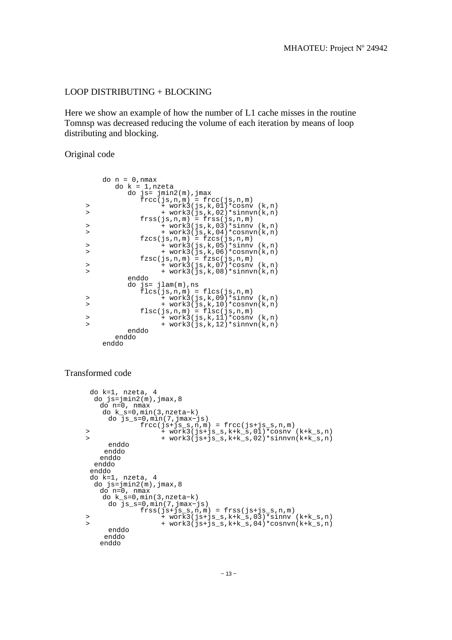#### LOOP DISTRIBUTING + BLOCKING

Here we show an example of how the number of L1 cache misses in the routine Tomnsp was decreased reducing the volume of each iteration by means of loop distributing and blocking.

Original code

|           | $do n = 0, nmax$                  |
|-----------|-----------------------------------|
|           | $do k = 1, nzeta$                 |
|           | $do$ js= $jmin2(m)$ , $jmax$      |
|           | $frec(js,n,m) = frec(js,n,m)$     |
| >         | $+$ work3(js,k,01)*cosnv(k,n)     |
| $\, > \,$ | + work3(js,k,02)*sinnvn(k,n)      |
|           | $frss(js,n,m) = frss(js,n,m)$     |
| $\, > \,$ | + work3(js,k,03)*sinny (k,n)      |
| $\rm{~}$  | $+$ work3(js,k,04)*cosnvn(k,n)    |
|           | $fzcs(js,n,m) = fzcs(js,n,m)$     |
| >         | $+$ work3(js,k,05)*sinnv (k,n)    |
| $\geq$    | $+$ work3(js,k,06)*cosnvn(k,n)    |
|           | $fzsc(js,n,m) = fzsc(js,n,m)$     |
| >         | + work3(js,k,07)*cosnv(k,n)       |
| $\geq$    | $+$ work3(js,k,08)*sinn $vn(k,n)$ |
|           | enddo                             |
|           | do $js = jlam(m)$ , ns            |
|           | $flcs(js,n,m) = flcs(js,n,m)$     |
| >         | + work3(js,k,09)*sinny (k,n)      |
| $\geq$    | $+$ work3(js,k,10)*cosnvn(k,n)    |
|           | $flsc(js,n,m) = flsc(js,n,m)$     |
| >         | + work3(js,k,11)*cosnv (k,n)      |
| $\geq$    | + work3(js,k,12)*sinnvn(k,n)      |
|           | enddo                             |
|           | enddo                             |
|           | enddo                             |
|           |                                   |

#### Transformed code

```
 do k=1, nzeta, 4
     do js=jmin2(m), jmax,8 do n=0, nmax 
 do k_s=0,min(3,nzeta−k)
      do js_s=0,min(7,jmax−js)
 frcc(js+js_s,n,m) = frcc(js+js_s,n,m) 
 > + work3(js+js_s,k+k_s,01)*cosnv (k+k_s,n)
 > + work3(js+js_s,k+k_s,02)*sinnvn(k+k_s,n)
         enddo
        enddo
       enddo
      enddo
     enddo
    do k=1, nzeta, 4<br>do js=jmin2(m), jmax, 8
 do js=jmin2(m),jmax,8
      do n=0, nmax 
 do k_s=0,min(3,nzeta−k)
      do js_s=0,min(7,jmax−js)
 frss(js+js_s,n,m) = frss(js+js_s,n,m) 
 > + work3(js+js_s,k+k_s,03)*sinnv (k+k_s,n)
 > + work3(js+js_s,k+k_s,04)*cosnvn(k+k_s,n)
      enddo
      enddo
      enddo
```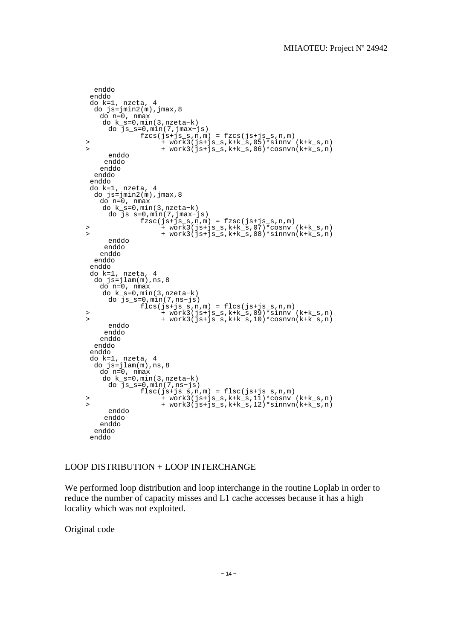```
 enddo
      enddo
     do k=1, nzeta, 4
     do j = jmin2(m), jmax,8 do n=0, nmax 
        do k_s=0,min(3,nzeta−k)
      do js_s=0,min(7,jmax−js)
 fzcs(js+js_s,n,m) = fzcs(js+js_s,n,m) 
 > + work3(js+js_s,k+k_s,05)*sinnv (k+k_s,n)
 > + work3(js+js_s,k+k_s,06)*cosnvn(k+k_s,n)
         enddo
        enddo
        enddo
      enddo
      enddo
 do k=1, nzeta, 4
 do js=jmin2(m),jmax,8
        do n=0, nmax 
        do k_s=0,min(3,nzeta−k)
         do js_s=0,min(7,jmax−js)
 fzsc(js+js_s,n,m) = fzsc(js+js_s,n,m) 
 > + work3(js+js_s,k+k_s,07)*cosnv (k+k_s,n)
     > + work3(js+js_s,k+k_s,08)*sinnvn(k+k_s,n)
         enddo
        enddo
        enddo
      enddo
      enddo
 do k=1, nzeta, 4
 do js=jlam(m),ns,8
        do n=0, nmax 
        do k_s=0,min(3,nzeta−k)
         do js_s=0,min(7,ns−js)
 flcs(js+js_s,n,m) = flcs(js+js_s,n,m) 
 > + work3(js+js_s,k+k_s,09)*sinnv (k+k_s,n)
 > + work3(js+js_s,k+k_s,10)*cosnvn(k+k_s,n)
         enddo
        enddo
        enddo
      enddo
      enddo
     do k=1, nzeta, 4
      do js=jlam(m),ns,8
        do n=0, nmax 
        do k_s=0,min(3,nzeta−k)
         do js_s=0,min(7,ns−js)
 flsc(js+js_s,n,m) = flsc(js+js_s,n,m) 
 > + work3(js+js_s,k+k_s,11)*cosnv (k+k_s,n)
    > + \text{ works3(js+js_s,k+k_s,12)*simvm(k+k_s,n)} enddo
        enddo
        enddo
      enddo
      enddo
```
#### LOOP DISTRIBUTION + LOOP INTERCHANGE

We performed loop distribution and loop interchange in the routine Loplab in order to reduce the number of capacity misses and L1 cache accesses because it has a high locality which was not exploited.

Original code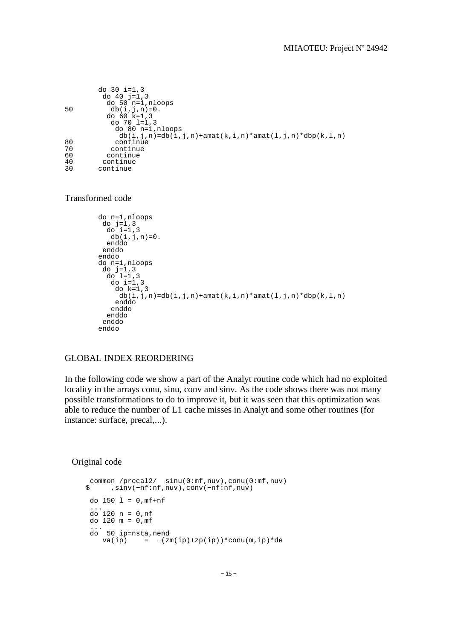```
 do 30 i=1,3
 do 40 j=1,3
 do 50 n=1,nloops
50 db(i,j,n)=0. do 60 k=1,3
 do 70 l=1,3
 do 80 n=1,nloops
db(i,j,n)=db(i,j,n)+amat(k,i,n)*amat(l,j,n)*dbp(k,l,n)<br>continue
80 continue<br>70 continue
70 continue 
60 continue 
40 continue 
     continue
```
Transformed code

```
 do n=1,nloops 
        do j=1,3do i=1,3
          db(i,j,n)=0. enddo 
         enddo 
        enddo 
        do n=1,nloops 
 do j=1,3 
 do l=1,3 
           do i=1,3 
           do k=1.3db(i,j,n)=db(i,j,n)+amat(k,i,n)*amat(l,j,n)*dbp(k,l,n) enddo
           enddo
          enddo
         enddo
        enddo
```
#### GLOBAL INDEX REORDERING

In the following code we show a part of the Analyt routine code which had no exploited locality in the arrays conu, sinu, conv and sinv. As the code shows there was not many possible transformations to do to improve it, but it was seen that this optimization was able to reduce the number of L1 cache misses in Analyt and some other routines (for instance: surface, precal,...).

Original code

```
common /precal2/ sinu(0:mf,nuv),conu(0:mf,nuv)<br>
\text{sin}u(-nf:nf,nuv),conv(-nf:nf,nuv) $ ,sinv(−nf:nf,nuv),conv(−nf:nf,nuv)
        do 150 \text{ l} = 0, \text{mf} + \text{nf} ...
         do 120 n = 0,nf 
        do 120 \text{ m} = 0 \text{ m} ...
        do 50 ip=nsta,nend<br>va(ip) = -(z) va(ip) = −(zm(ip)+zp(ip))*conu(m,ip)*de
```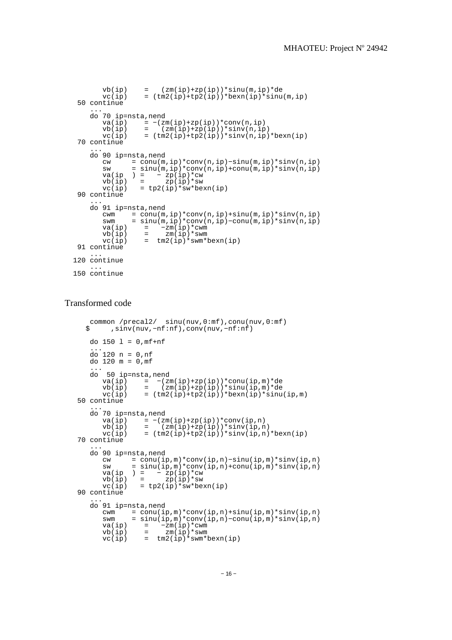```
vb(ip) = (zm(ip)+zp(ip)*sinu(m,ip)*de
vc(ip) = (tm2(ip)+tp2(ip))*beam(ip)*sim(m, ip) 50 continue
 ...
     do 70 ip=nsta,nend 
va(ip) = -(zm(ip)+zp(ip) *conv(n, ip)vb(ip) = (zm(ip)+zp(ip)*sinv(n,ip)
      vc(ip) = (tm2(ip)+tp2(ip))*sinv(n,ip)*bexn(ip)
   70 continue
 ...
     do 90 ip=nsta,nend 
       cw = conu(m,ip)*conv(n,ip)−sinu(m,ip)*sinv(n,ip)
 sw = sinu(m,ip)*conv(n,ip)+conu(m,ip)*sinv(n,ip)
va(ip ) = -zp(ip) *cwvb(ip) = zp(ip)*swvc(ip) = tp2(ip)*sw*beam(ip) 90 continue
 ...
     do 91 ip=nsta,nend 
cwm = conn(m, ip)*conn(n, ip)+sinv(m, ip)*sinv(n, ip) swm = sinu(m,ip)*conv(n,ip)−conu(m,ip)*sinv(n,ip)
va(ip) = -zm(ip)*cwmvb(ip) = zm(ip)*swmvc(ip) = tm2(ip)*swm*beam(ip)91 continue
 ...
  120 continue
 ...
 150 continue
```
#### Transformed code

```
common /precal2/ sinu(nuv,0:mf),conu(nuv,0:mf)<br>sinv(nuv -nf:nf),conv(nuv -nf:nf)
          ,sinv(nuv,−nf:nf),conv(nuv,−nf:nf)
     do 150 \text{ l} = 0 \text{ m} \text{f} + \text{nf} ...
 do 120 n = 0,nf 
     do 120 m = 0, m ...
 do 50 ip=nsta,nend
 va(ip) = −(zm(ip)+zp(ip))*conu(ip,m)*de
vb(ip) = (zm(ip)+zp(ip)*sinu(ip,m)*de
        vc(ip) = (tm2(ip)+tp2(ip))*beam(ip)*sim(ip,m) 50 continue
 ...
      do 70 ip=nsta,nend 
va(ip) = -(zm(ip)+zp(ip) *conv(ip,n)vb(ip) = (zm(ip)+zp(ip))*sinv(ip,n)vb(ip) = (\text{zm}(\text{ip})+\text{zp}(\text{ip}))*sinv(ip,n)<br>vc(ip) = (\text{tm}2(\text{ip})+\text{tp}(i\text{p}))*sinv(ip,n)*bexn(ip)
   70 continue
 ...
 do 90 ip=nsta,nend 
 cw = conu(ip,m)*conv(ip,n)−sinu(ip,m)*sinv(ip,n)
 sw = sinu(ip,m)*conv(ip,n)+conu(ip,m)*sinv(ip,n)
va(ip ) = -zp(ip) *cwvb(ip) = zp(ip)*swvc(ip) = tp2(ip)*sw*beam(ip) 90 continue
 ...
      do 91 ip=nsta,nend 
        cwm = conu(ip,m)*conv(ip,n)+sinu(ip,m)*sinv(ip,n)<br>swm = sinu(ip.m)*conv(ip.n)-conu(ip.m)*sinv(ip.n)
               = sinu(ip,m)*conv(ip,n)−conu(ip,m)*sinv(ip,n)
va(ip) = -zm(ip)*cwmvb(ip) = zm(ip)*swmvc(ip) = tm2(ip)*swm*beam(ip)
```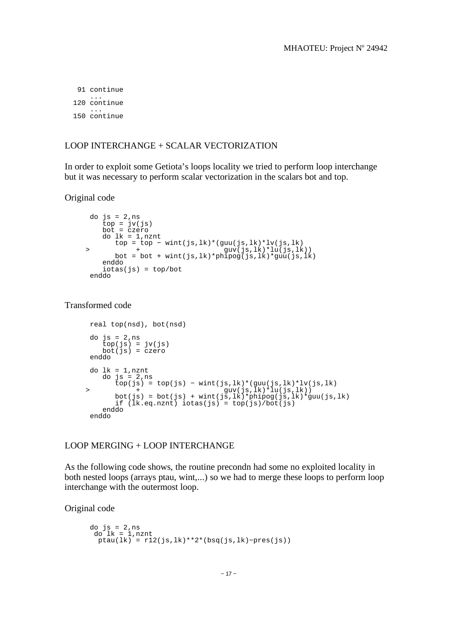91 continue ... 120 continue ... 150 continue

#### LOOP INTERCHANGE + SCALAR VECTORIZATION

In order to exploit some Getiota's loops locality we tried to perform loop interchange but it was necessary to perform scalar vectorization in the scalars bot and top.

Original code

```
 do js = 2,ns
 top = jv(js) 
       bot = czero do lk = 1,nznt
    top = top − wint(js,lk)*(guu(js,lk)*lv(js,lk)<br>
> + guv(is,lk)*lu(is,lk
 > + guv(js,lk)*lu(js,lk))
 bot = bot + wint(js,lk)*phipog(js,lk)*guu(js,lk)
        enddo
       iots(s) = top/bot enddo
```
Transformed code

```
 real top(nsd), bot(nsd)
     do js = 2,ns
top(js) = jv(js) bot(js) = czero
     enddo 
     do lk = 1,nznt
        do js = 2,ns
 top(js) = top(js) − wint(js,lk)*(guu(js,lk)*lv(js,lk)
 > + guv(js,lk)*lu(js,lk))
 bot(js) = bot(js) + wint(js,lk)*phipog(js,lk)*guu(js,lk)
 if (lk.eq.nznt) iotas(js) = top(js)/bot(js)
        enddo
     enddo
```
#### LOOP MERGING + LOOP INTERCHANGE

As the following code shows, the routine precondn had some no exploited locality in both nested loops (arrays ptau, wint,...) so we had to merge these loops to perform loop interchange with the outermost loop.

Original code

```
 do js = 2,ns 
 do lk = 1,nznt 
 ptau(lk) = r12(js,lk)**2*(bsq(js,lk)−pres(js))
```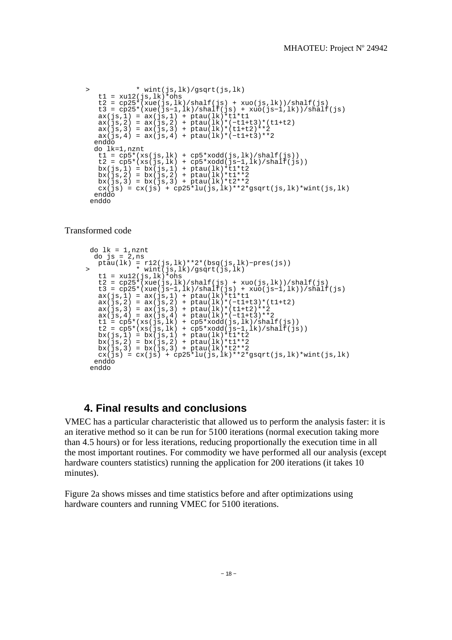```
 > * wint(js,lk)/gsqrt(js,lk)
       t1 = xu12(js,lk)*obst2 = cp25*(xue(js,lk)/shalf(js) + xuo(js,lk))/shalf(js)t3 = cp25*(xue(js-1,lk)/shalf(js) + xuo(js-1,lk))/shalf(js)ax(js,1) = ax(js,1) + ptau(lk)*tl*tl ax(js,2) = ax(js,2) + ptau(lk)*(−t1+t3)*(t1+t2)
       ax(js,3) = ax(js,3) + \bar{p}tau(lk)*(t1+t2)*iax(js, 4) = ax(js, 4) + ptau(lk)*(-t1+t3)*2 enddo
       do lk=1,nznt 
t1 = cp5*(xs(js,lk) + cp5*xodd(js,lk)/shalf(js)) t2 = cp5*(xs(js,lk) + cp5*xodd(js−1,lk)/shalf(js))
bx(js,1) = bx(js,1) + ptau(lk)*tl*t2bx(js,2) = bx(js,2) + ptau(lk)*tl**2bx(js,3) = bx(js,3) + ptau(lk)*t2**2 cx(js) = cx(js) + cp25*lu(js,lk)**2*gsqrt(js,lk)*wint(js,lk)
       enddo
      enddo
```
Transformed code

```
 do lk = 1,nznt 
     do is = 2, ns ptau(lk) = r12(js,lk)**2*(bsq(js,lk)−pres(js))
 > * wint(js,lk)/gsqrt(js,lk)
t1 = xu12(js,lk)*obst2 = cp25*(xue(js,lk)/shalf(js) + xuo(js,lk))/shalf(js) t3 = cp25*(xue(js−1,lk)/shalf(js) + xuo(js−1,lk))/shalf(js)
ax(js,1) = ax(js,1) + ptau(lk)*tl*tl ax(js,2) = ax(js,2) + ptau(lk)*(−t1+t3)*(t1+t2)
ax(js,3) = ax(js,3) + ptau(lk)*(t1+t2)*2 ax(js,4) = ax(js,4) + ptau(lk)*(−t1+t3)**2
t1 = cp5*(xs(js,lk) + cp5*xodd(js,lk)/shalf(js)) t2 = cp5*(xs(js,lk) + cp5*xodd(js−1,lk)/shalf(js))
      bx(js,1) = bx(js,1) + ptau(lk)*tl*t2bx(js,2) = bx(js,2) + ptau(lk)*t1**2bx(js,3) = bx(js,3) + ptau(lk)*t2**2cx(js) = cx(js) + cp25*lu(js,lk)*2*gsqrt(js,lk)*wint(js,lk) enddo
     enddo
```
## **4. Final results and conclusions**

VMEC has a particular characteristic that allowed us to perform the analysis faster: it is an iterative method so it can be run for 5100 iterations (normal execution taking more than 4.5 hours) or for less iterations, reducing proportionally the execution time in all the most important routines. For commodity we have performed all our analysis (except hardware counters statistics) running the application for 200 iterations (it takes 10 minutes).

Figure 2a shows misses and time statistics before and after optimizations using hardware counters and running VMEC for 5100 iterations.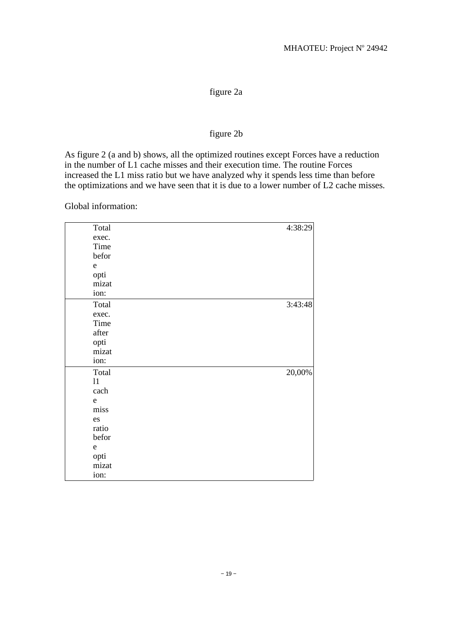## figure 2a

### figure 2b

As figure 2 (a and b) shows, all the optimized routines except Forces have a reduction in the number of L1 cache misses and their execution time. The routine Forces increased the L1 miss ratio but we have analyzed why it spends less time than before the optimizations and we have seen that it is due to a lower number of L2 cache misses.

Global information:

| Total       | 4:38:29 |
|-------------|---------|
| exec.       |         |
| Time        |         |
| befor       |         |
| ${\bf e}$   |         |
| opti        |         |
| mizat       |         |
| ion:        |         |
| Total       | 3:43:48 |
| exec.       |         |
| Time        |         |
| after       |         |
| opti        |         |
| mizat       |         |
| ion:        |         |
| Total       | 20,00%  |
| 11          |         |
| cach        |         |
| $\mathbf e$ |         |
| miss        |         |
| es          |         |
| ratio       |         |
| befor       |         |
| $\mathbf e$ |         |
| opti        |         |
| mizat       |         |
| ion:        |         |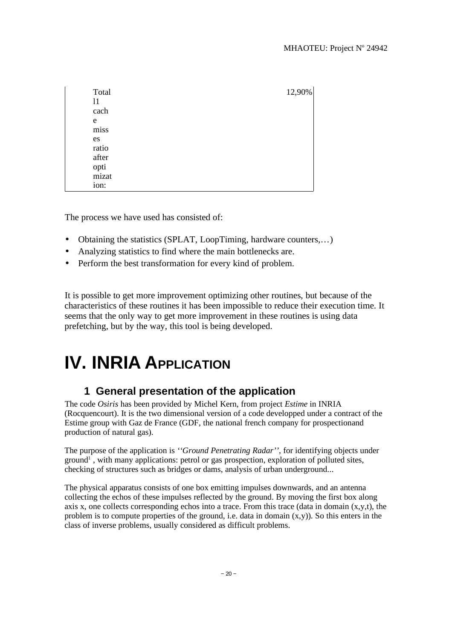| Total | 12,90% |  |
|-------|--------|--|
| 11    |        |  |
| cach  |        |  |
| e     |        |  |
| miss  |        |  |
| es    |        |  |
| ratio |        |  |
| after |        |  |
| opti  |        |  |
| mizat |        |  |
| ion:  |        |  |

The process we have used has consisted of:

- Obtaining the statistics (SPLAT, LoopTiming, hardware counters,...)
- Analyzing statistics to find where the main bottlenecks are.
- Perform the best transformation for every kind of problem.

It is possible to get more improvement optimizing other routines, but because of the characteristics of these routines it has been impossible to reduce their execution time. It seems that the only way to get more improvement in these routines is using data prefetching, but by the way, this tool is being developed.

# **IV. INRIA APPLICATION**

## **1 General presentation of the application**

The code *Osiris* has been provided by Michel Kern, from project *Estime* in INRIA (Rocquencourt). It is the two dimensional version of a code developped under a contract of the Estime group with Gaz de France (GDF, the national french company for prospectionand production of natural gas).

The purpose of the application is *''Ground Penetrating Radar''*, for identifying objects under ground<sup>1</sup>, with many applications: petrol or gas prospection, exploration of polluted sites, checking of structures such as bridges or dams, analysis of urban underground...

The physical apparatus consists of one box emitting impulses downwards, and an antenna collecting the echos of these impulses reflected by the ground. By moving the first box along axis x, one collects corresponding echos into a trace. From this trace (data in domain  $(x,y,t)$ , the problem is to compute properties of the ground, i.e. data in domain  $(x,y)$ ). So this enters in the class of inverse problems, usually considered as difficult problems.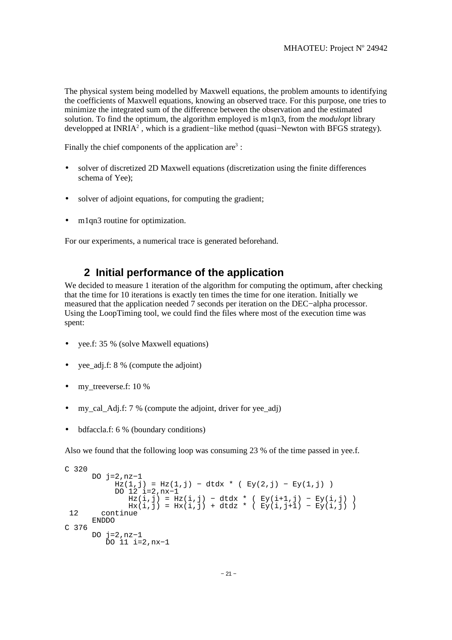The physical system being modelled by Maxwell equations, the problem amounts to identifying the coefficients of Maxwell equations, knowing an observed trace. For this purpose, one tries to minimize the integrated sum of the difference between the observation and the estimated solution. To find the optimum, the algorithm employed is m1qn3, from the *modulopt* library developped at INRIA<sup>2</sup>, which is a gradient–like method (quasi–Newton with BFGS strategy).

Finally the chief components of the application  $are^3$ :

- solver of discretized 2D Maxwell equations (discretization using the finite differences schema of Yee);
- solver of adjoint equations, for computing the gradient;
- m1qn3 routine for optimization.

For our experiments, a numerical trace is generated beforehand.

### **2 Initial performance of the application**

We decided to measure 1 iteration of the algorithm for computing the optimum, after checking that the time for 10 iterations is exactly ten times the time for one iteration. Initially we measured that the application needed 7 seconds per iteration on the DEC−alpha processor. Using the LoopTiming tool, we could find the files where most of the execution time was spent:

- yee.f: 35 % (solve Maxwell equations)
- yee\_adj.f: 8 % (compute the adjoint)
- my treeverse.f:  $10\%$
- my\_cal\_Adj.f:  $7 %$  (compute the adjoint, driver for yee\_adj)
- bdfaccla.f: 6 % (boundary conditions)

Also we found that the following loop was consuming 23 % of the time passed in yee.f.

```
C 320
      DO j=2,nz−1
         Hz(1,j) = Hz(1,j) - dtdx * (Ey(2,j) - Ey(1,j)) DO 12 i=2,nx−1
Hz(i,j) = Hz(i,j) - dtdx * ( Ey(i+1,j) - Ey(i,j) )
Hx(i,j) = Hx(i,j) + dtdz * ( Ey(i,j+1) - Ey(i,j) ) 12 continue
      ENDDO
C 376
      DO j=2,nz−1
         DO 11 i=2,nx−1
```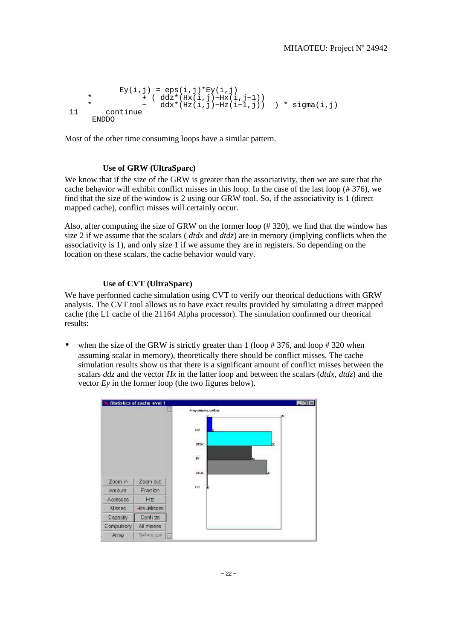```
Ey(i,j) = eps(i,j)*Ey(i,j) * + ( ddz*(Hx(i,j)−Hx(i,j−1))
* -\text{d}dx*(\text{Hz}(i,j)-\text{Hz}(i-1,j)) ) * sigma(i,j)
        continue
      ENDDO
```
Most of the other time consuming loops have a similar pattern.

#### **Use of GRW (UltraSparc)**

We know that if the size of the GRW is greater than the associativity, then we are sure that the cache behavior will exhibit conflict misses in this loop. In the case of the last loop (# 376), we find that the size of the window is 2 using our GRW tool. So, if the associativity is 1 (direct mapped cache), conflict misses will certainly occur.

Also, after computing the size of GRW on the former loop (# 320), we find that the window has size 2 if we assume that the scalars ( *dtdx* and *dtdz*) are in memory (implying conflicts when the associativity is 1), and only size 1 if we assume they are in registers. So depending on the location on these scalars, the cache behavior would vary.

#### **Use of CVT (UltraSparc)**

We have performed cache simulation using CVT to verify our theorical deductions with GRW analysis. The CVT tool allows us to have exact results provided by simulating a direct mapped cache (the L1 cache of the 21164 Alpha processor). The simulation confirmed our theorical results:

when the size of the GRW is strictly greater than  $1$  (loop  $\# 376$ , and loop  $\# 320$  when assuming scalar in memory), theoretically there should be conflict misses. The cache simulation results show us that there is a significant amount of conflict misses between the scalars *ddz* and the vector *Hx* in the latter loop and between the scalars (*dtdx*, *dtdz*) and the vector *Ey* in the former loop (the two figures below).

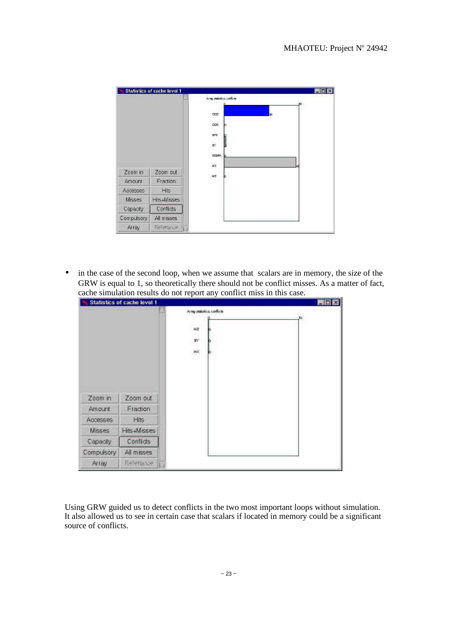|            | <b>Statistics of cache level 1</b> | <b>E In Ix</b>                                       |
|------------|------------------------------------|------------------------------------------------------|
|            |                                    | Army statistics, conficts<br>50<br><b>DDZ</b>        |
| Zoom in    | Zoom out                           | <b>DDK</b><br>EPS<br>EY<br>SIGMA <sup>®</sup><br>HX. |
| Amount     | Fraction                           | HZ                                                   |
| Accesses   | Hits                               |                                                      |
| Misses     | Hits +Misses                       |                                                      |
| Capacity.  | Conflicts                          |                                                      |
| Compulsory | All misses                         |                                                      |
| Array      | Reference                          |                                                      |

• in the case of the second loop, when we assume that scalars are in memory, the size of the GRW is equal to 1, so theoretically there should not be conflict misses. As a matter of fact, cache simulation results do not report any conflict miss in this case.

|            | <b>Statistics of cache level 1</b> |            |                           |     | <b>Mini X</b> |
|------------|------------------------------------|------------|---------------------------|-----|---------------|
|            |                                    |            | Army statistics, conficts |     |               |
|            |                                    | $H\bar{Z}$ |                           | ,or |               |
|            |                                    | EY         |                           |     |               |
|            |                                    |            |                           |     |               |
|            |                                    | HX         |                           |     |               |
|            |                                    |            |                           |     |               |
|            |                                    |            |                           |     |               |
|            |                                    |            |                           |     |               |
|            |                                    |            |                           |     |               |
| Zoom in    | Zoom out                           |            |                           |     |               |
| Amount     | Fraction                           |            |                           |     |               |
| Accesses   | Hits                               |            |                           |     |               |
| Misses     | Hits-Misses                        |            |                           |     |               |
| Capacity.  | Conflicts                          |            |                           |     |               |
| Compulsory | All misses                         |            |                           |     |               |
| Array      | Reference                          |            |                           |     |               |

Using GRW guided us to detect conflicts in the two most important loops without simulation. It also allowed us to see in certain case that scalars if located in memory could be a significant source of conflicts.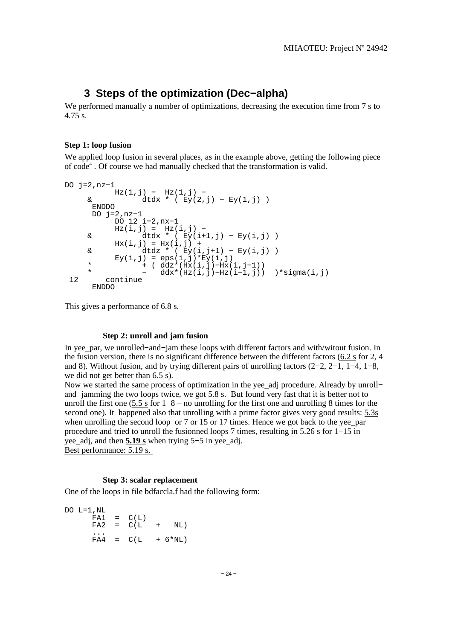### **3 Steps of the optimization (Dec−alpha)**

We performed manually a number of optimizations, decreasing the execution time from 7 s to 4.75 s.

#### **Step 1: loop fusion**

We applied loop fusion in several places, as in the example above, getting the following piece of code<sup>4</sup>. Of course we had manually checked that the transformation is valid.

```
DO j=2,nz−1
             Hz(1,j) = Hz(1,j) -\& \quad \frac{\mathrm{d}}{\mathrm{d}} \, \mathrm{d} x * (\mathbf{E} y(2, \cdot) - \mathbf{E} y(1, \cdot)) ENDDO
        DO j=2,nz−1
               DO 12 i=2,nx−1
      \text{Hz}(\text{i},\text{j}) = \text{Hz}(\text{i},\text{j}) - \text{d} \text{tdx} \times (\text{Ev}(\text{i}+\text{j}))dtdx * ( Ey(i+1,j) - Ey(i,j) )Hx(i,j) = Hx(i,j) + & dtdz * ( Ey(i,j+1) − Ey(i,j) )
E(y(i,j) = eps(i,j)*E(y(i,j)) * + ( ddz*(Hx(i,j)−Hx(i,j−1))
 * − ddx*(Hz(i,j)−Hz(i−1,j)) )*sigma(i,j)
  12 continue
        ENDDO
```
This gives a performance of 6.8 s.

#### **Step 2: unroll and jam fusion**

In yee\_par, we unrolled−and−jam these loops with different factors and with/witout fusion. In the fusion version, there is no significant difference between the different factors (6.2 s for 2, 4 and 8). Without fusion, and by trying different pairs of unrolling factors (2−2, 2−1, 1−4, 1−8, we did not get better than 6.5 s).

Now we started the same process of optimization in the yee\_adj procedure. Already by unroll− and−jamming the two loops twice, we got 5.8 s. But found very fast that it is better not to unroll the first one (5.5 s for 1−8 – no unrolling for the first one and unrolling 8 times for the second one). It happened also that unrolling with a prime factor gives very good results: 5.3s when unrolling the second loop or  $7$  or  $15$  or  $17$  times. Hence we got back to the yee par procedure and tried to unroll the fusionned loops 7 times, resulting in 5.26 s for 1−15 in yee\_adj, and then **5.19 s** when trying 5−5 in yee\_adj.

Best performance: 5.19 s.

#### **Step 3: scalar replacement**

One of the loops in file bdfaccla.f had the following form:

```
DO L=1,NL
    FA1 = C(L)FA2 = C(L + NL) ...
    FAA = C(L + 6*NL)
```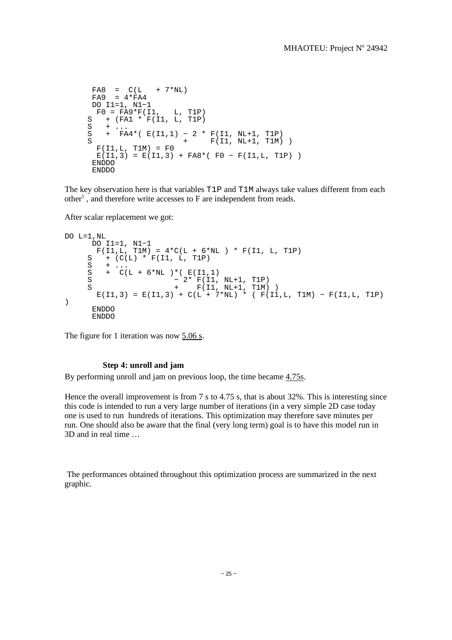```
FAB = C(I_1 + 7*NI_1)F A9 = 4 \cdot F A4 DO I1=1, N1−1 
F0 = FA9*F(11, L, T1P)S + (FA1 * F(I1, L, T1P)
S + \ldots S + FA4*( E(I1,1) − 2 * F(I1, NL+1, T1P) 
S + F(11, NL+1, T1M)F(11,L, T1M) = F0E(11,3) = E(11,3) + FAB*(F0 - F(11,L, T1P)) ENDDO 
     ENDDO
```
The key observation here is that variables T1P and T1M always take values different from each other<sup>5</sup>, and therefore write accesses to F are independent from reads.

After scalar replacement we got:

```
DO L=1,NL
 DO I1=1, N1−1 
F(II,L, T1M) = 4*C(L + 6*NL) * F(II, L, T1P)S + (C(L) * F(I1, L, T1P)<br>S + ...
S + \ldotsS + C(L + 6*NL) *(E(II,1)<br>S - 2* F(II,S - 2* F(I1, NL+1, T1P)
S + F(11, NL+1, T1M))
     E(1,3) = E(1,3) + C(L + 7*NL) * (F(1, L, T1M) - F(11, L, T1P)) 
      ENDDO 
      ENDDO
```
The figure for 1 iteration was now 5.06 s.

#### **Step 4: unroll and jam**

By performing unroll and jam on previous loop, the time became 4.75s.

Hence the overall improvement is from 7 s to 4.75 s, that is about 32%. This is interesting since this code is intended to run a very large number of iterations (in a very simple 2D case today one is used to run hundreds of iterations. This optimization may therefore save minutes per run. One should also be aware that the final (very long term) goal is to have this model run in 3D and in real time …

 The performances obtained throughout this optimization process are summarized in the next graphic.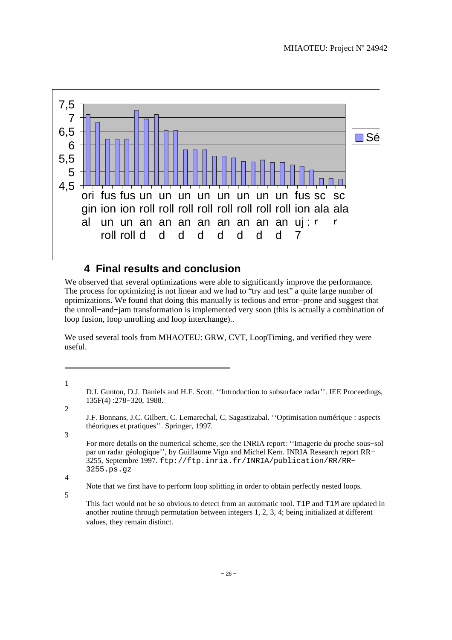

## **4 Final results and conclusion**

We observed that several optimizations were able to significantly improve the performance. The process for optimizing is not linear and we had to "try and test" a quite large number of optimizations. We found that doing this manually is tedious and error−prone and suggest that the unroll−and−jam transformation is implemented very soon (this is actually a combination of loop fusion, loop unrolling and loop interchange)..

We used several tools from MHAOTEU: GRW, CVT, LoopTiming, and verified they were useful.

D.J. Gunton, D.J. Daniels and H.F. Scott. ''Introduction to subsurface radar''. IEE Proceedings, 135F(4) :278−320, 1988.

J.F. Bonnans, J.C. Gilbert, C. Lemarechal, C. Sagastizabal. ''Optimisation numérique : aspects théoriques et pratiques''. Springer, 1997.

For more details on the numerical scheme, see the INRIA report: ''Imagerie du proche sous−sol par un radar géologique'', by Guillaume Vigo and Michel Kern. INRIA Research report RR− 3255, Septembre 1997. ftp://ftp.inria.fr/INRIA/publication/RR/RR− 3255.ps.gz

4

5

1

2

3

Note that we first have to perform loop splitting in order to obtain perfectly nested loops.

This fact would not be so obvious to detect from an automatic tool. T1P and T1M are updated in another routine through permutation between integers 1, 2, 3, 4; being initialized at different values, they remain distinct.